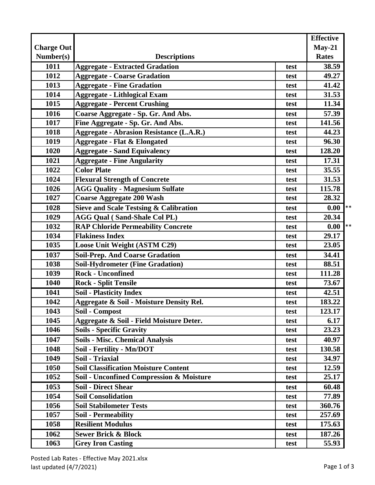|                   |                                                     |      | <b>Effective</b> |
|-------------------|-----------------------------------------------------|------|------------------|
| <b>Charge Out</b> |                                                     |      | $May-21$         |
| Number(s)         | <b>Descriptions</b>                                 |      | <b>Rates</b>     |
| 1011              | <b>Aggregate - Extracted Gradation</b>              | test | 38.59            |
| 1012              | <b>Aggregate - Coarse Gradation</b>                 | test | 49.27            |
| 1013              | <b>Aggregate - Fine Gradation</b>                   | test | 41.42            |
| 1014              | <b>Aggregate - Lithlogical Exam</b>                 | test | 31.53            |
| 1015              | <b>Aggregate - Percent Crushing</b>                 | test | 11.34            |
| 1016              | Coarse Aggregate - Sp. Gr. And Abs.                 | test | 57.39            |
| 1017              | Fine Aggregate - Sp. Gr. And Abs.                   | test | 141.56           |
| 1018              | <b>Aggregate - Abrasion Resistance (L.A.R.)</b>     | test | 44.23            |
| 1019              | <b>Aggregate - Flat &amp; Elongated</b>             | test | 96.30            |
| 1020              | <b>Aggregate - Sand Equivalency</b>                 | test | 128.20           |
| 1021              | <b>Aggregate - Fine Angularity</b>                  | test | 17.31            |
| 1022              | <b>Color Plate</b>                                  | test | 35.55            |
| 1024              | <b>Flexural Strength of Concrete</b>                | test | 31.53            |
| 1026              | <b>AGG Quality - Magnesium Sulfate</b>              | test | 115.78           |
| 1027              | <b>Coarse Aggregate 200 Wash</b>                    | test | 28.32            |
| 1028              | <b>Sieve and Scale Testsing &amp; Calibration</b>   | test | $**$<br>0.00     |
| 1029              | <b>AGG Qual (Sand-Shale Col PL)</b>                 | test | 20.34            |
| 1032              | <b>RAP Chloride Permeability Concrete</b>           | test | $**$<br>0.00     |
| 1034              | <b>Flakiness Index</b>                              | test | 29.17            |
| 1035              | Loose Unit Weight (ASTM C29)                        | test | 23.05            |
| 1037              | <b>Soil-Prep. And Coarse Gradation</b>              | test | 34.41            |
| 1038              | <b>Soil-Hydrometer (Fine Gradation)</b>             | test | 88.51            |
| 1039              | <b>Rock - Unconfined</b>                            | test | 111.28           |
| 1040              | <b>Rock - Split Tensile</b>                         | test | 73.67            |
| 1041              | <b>Soil - Plasticity Index</b>                      | test | 42.51            |
| 1042              | <b>Aggregate &amp; Soil - Moisture Density Rel.</b> | test | 183.22           |
| 1043              | Soil - Compost                                      | test | 123.17           |
| 1045              | Aggregate & Soil - Field Moisture Deter.            | test | 6.17             |
| 1046              | <b>Soils - Specific Gravity</b>                     | test | 23.23            |
| 1047              | <b>Soils - Misc. Chemical Analysis</b>              | test | 40.97            |
| 1048              | Soil - Fertility - Mn/DOT                           | test | 130.58           |
| 1049              | Soil - Triaxial                                     | test | 34.97            |
| 1050              | <b>Soil Classification Moisture Content</b>         | test | 12.59            |
| 1052              | Soil - Unconfined Compression & Moisture            | test | 25.17            |
| 1053              | <b>Soil - Direct Shear</b>                          | test | 60.48            |
| 1054              | <b>Soil Consolidation</b>                           | test | 77.89            |
| 1056              | <b>Soil Stabilometer Tests</b>                      | test | 360.76           |
| 1057              | <b>Soil - Permeability</b>                          | test | 257.69           |
| 1058              | <b>Resilient Modulus</b>                            | test | 175.63           |
| 1062              | <b>Sewer Brick &amp; Block</b>                      | test | 187.26           |
| 1063              | <b>Grey Iron Casting</b>                            | test | 55.93            |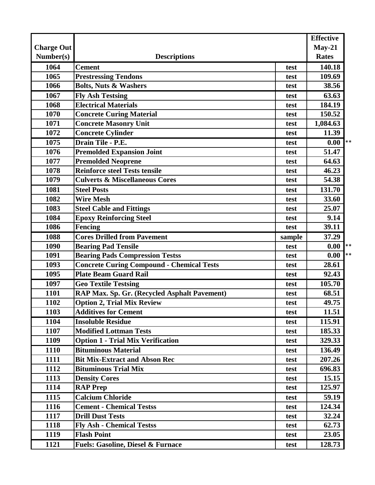| $May-21$<br><b>Charge Out</b><br>Number(s)<br><b>Rates</b><br><b>Descriptions</b><br>1064<br><b>Cement</b><br>140.18<br>test<br><b>Prestressing Tendons</b><br>1065<br>109.69<br>test<br><b>Bolts, Nuts &amp; Washers</b><br>1066<br>38.56<br>test<br><b>Fly Ash Testsing</b><br>63.63<br>1067<br>test<br><b>Electrical Materials</b><br>1068<br>184.19<br>test<br>1070<br><b>Concrete Curing Material</b><br>150.52<br>test<br>1071<br><b>Concrete Masonry Unit</b><br>1,084.63<br>test<br>1072<br><b>Concrete Cylinder</b><br>11.39<br>test<br>$\mathbf{I} * *$<br>Drain Tile - P.E.<br>1075<br>0.00<br>test<br>1076<br><b>Premolded Expansion Joint</b><br>51.47<br>test<br><b>Premolded Neoprene</b><br>1077<br>64.63<br>test<br><b>Reinforce steel Tests tensile</b><br>1078<br>46.23<br>test<br>54.38<br>1079<br><b>Culverts &amp; Miscellaneous Cores</b><br>test<br><b>Steel Posts</b><br>131.70<br>1081<br>test<br>1082<br><b>Wire Mesh</b><br>33.60<br>test<br>25.07<br>1083<br><b>Steel Cable and Fittings</b><br>test<br>1084<br><b>Epoxy Reinforcing Steel</b><br>9.14<br>test<br>39.11<br>1086<br><b>Fencing</b><br>test<br><b>Cores Drilled from Pavement</b><br>1088<br>37.29<br>sample<br>$\mathbf{I}$ **<br>0.00<br>1090<br><b>Bearing Pad Tensile</b><br>test<br><b>Bearing Pads Compression Testss</b><br>1091<br>0.00<br>test<br><b>Concrete Curing Compound - Chemical Tests</b><br>1093<br>28.61<br>test<br><b>Plate Beam Guard Rail</b><br>1095<br>92.43<br>test<br>1097<br><b>Geo Textile Testsing</b><br>105.70<br>test<br>RAP Max. Sp. Gr. (Recycled Asphalt Pavement)<br>1101<br>68.51<br>test<br><b>Option 2, Trial Mix Review</b><br>49.75<br>1102<br>test<br><b>Additives for Cement</b><br>1103<br>11.51<br>test<br><b>Insoluble Residue</b><br>1104<br>115.91<br>test<br><b>Modified Lottman Tests</b><br>1107<br>185.33<br>test<br><b>Option 1 - Trial Mix Verification</b><br>1109<br>329.33<br>test<br><b>Bituminous Material</b><br>136.49<br>1110<br>test<br>1111<br><b>Bit Mix-Extract and Abson Rec</b><br>207.26<br>test<br><b>Bituminous Trial Mix</b><br>696.83<br>1112<br>test<br>1113<br><b>Density Cores</b><br>15.15<br>test<br><b>RAP Prep</b><br>125.97<br>1114<br>test<br><b>Calcium Chloride</b><br>1115<br>59.19<br>test<br>1116<br><b>Cement - Chemical Testss</b><br>124.34<br>test<br><b>Drill Dust Tests</b><br>1117<br>32.24<br>test<br><b>Fly Ash - Chemical Testss</b><br>1118<br>62.73<br>test<br><b>Flash Point</b><br>23.05<br>1119<br>test<br>128.73<br>1121<br><b>Fuels: Gasoline, Diesel &amp; Furnace</b><br>test |  | <b>Effective</b> |      |
|-------------------------------------------------------------------------------------------------------------------------------------------------------------------------------------------------------------------------------------------------------------------------------------------------------------------------------------------------------------------------------------------------------------------------------------------------------------------------------------------------------------------------------------------------------------------------------------------------------------------------------------------------------------------------------------------------------------------------------------------------------------------------------------------------------------------------------------------------------------------------------------------------------------------------------------------------------------------------------------------------------------------------------------------------------------------------------------------------------------------------------------------------------------------------------------------------------------------------------------------------------------------------------------------------------------------------------------------------------------------------------------------------------------------------------------------------------------------------------------------------------------------------------------------------------------------------------------------------------------------------------------------------------------------------------------------------------------------------------------------------------------------------------------------------------------------------------------------------------------------------------------------------------------------------------------------------------------------------------------------------------------------------------------------------------------------------------------------------------------------------------------------------------------------------------------------------------------------------------------------------------------------------------------------------------------------------------------------------------------------------------------------------------------------------------------------------------------------------------------------------------------------------------------------------------------------------------------|--|------------------|------|
|                                                                                                                                                                                                                                                                                                                                                                                                                                                                                                                                                                                                                                                                                                                                                                                                                                                                                                                                                                                                                                                                                                                                                                                                                                                                                                                                                                                                                                                                                                                                                                                                                                                                                                                                                                                                                                                                                                                                                                                                                                                                                                                                                                                                                                                                                                                                                                                                                                                                                                                                                                                     |  |                  |      |
|                                                                                                                                                                                                                                                                                                                                                                                                                                                                                                                                                                                                                                                                                                                                                                                                                                                                                                                                                                                                                                                                                                                                                                                                                                                                                                                                                                                                                                                                                                                                                                                                                                                                                                                                                                                                                                                                                                                                                                                                                                                                                                                                                                                                                                                                                                                                                                                                                                                                                                                                                                                     |  |                  |      |
|                                                                                                                                                                                                                                                                                                                                                                                                                                                                                                                                                                                                                                                                                                                                                                                                                                                                                                                                                                                                                                                                                                                                                                                                                                                                                                                                                                                                                                                                                                                                                                                                                                                                                                                                                                                                                                                                                                                                                                                                                                                                                                                                                                                                                                                                                                                                                                                                                                                                                                                                                                                     |  |                  |      |
|                                                                                                                                                                                                                                                                                                                                                                                                                                                                                                                                                                                                                                                                                                                                                                                                                                                                                                                                                                                                                                                                                                                                                                                                                                                                                                                                                                                                                                                                                                                                                                                                                                                                                                                                                                                                                                                                                                                                                                                                                                                                                                                                                                                                                                                                                                                                                                                                                                                                                                                                                                                     |  |                  |      |
|                                                                                                                                                                                                                                                                                                                                                                                                                                                                                                                                                                                                                                                                                                                                                                                                                                                                                                                                                                                                                                                                                                                                                                                                                                                                                                                                                                                                                                                                                                                                                                                                                                                                                                                                                                                                                                                                                                                                                                                                                                                                                                                                                                                                                                                                                                                                                                                                                                                                                                                                                                                     |  |                  |      |
|                                                                                                                                                                                                                                                                                                                                                                                                                                                                                                                                                                                                                                                                                                                                                                                                                                                                                                                                                                                                                                                                                                                                                                                                                                                                                                                                                                                                                                                                                                                                                                                                                                                                                                                                                                                                                                                                                                                                                                                                                                                                                                                                                                                                                                                                                                                                                                                                                                                                                                                                                                                     |  |                  |      |
|                                                                                                                                                                                                                                                                                                                                                                                                                                                                                                                                                                                                                                                                                                                                                                                                                                                                                                                                                                                                                                                                                                                                                                                                                                                                                                                                                                                                                                                                                                                                                                                                                                                                                                                                                                                                                                                                                                                                                                                                                                                                                                                                                                                                                                                                                                                                                                                                                                                                                                                                                                                     |  |                  |      |
|                                                                                                                                                                                                                                                                                                                                                                                                                                                                                                                                                                                                                                                                                                                                                                                                                                                                                                                                                                                                                                                                                                                                                                                                                                                                                                                                                                                                                                                                                                                                                                                                                                                                                                                                                                                                                                                                                                                                                                                                                                                                                                                                                                                                                                                                                                                                                                                                                                                                                                                                                                                     |  |                  |      |
|                                                                                                                                                                                                                                                                                                                                                                                                                                                                                                                                                                                                                                                                                                                                                                                                                                                                                                                                                                                                                                                                                                                                                                                                                                                                                                                                                                                                                                                                                                                                                                                                                                                                                                                                                                                                                                                                                                                                                                                                                                                                                                                                                                                                                                                                                                                                                                                                                                                                                                                                                                                     |  |                  |      |
|                                                                                                                                                                                                                                                                                                                                                                                                                                                                                                                                                                                                                                                                                                                                                                                                                                                                                                                                                                                                                                                                                                                                                                                                                                                                                                                                                                                                                                                                                                                                                                                                                                                                                                                                                                                                                                                                                                                                                                                                                                                                                                                                                                                                                                                                                                                                                                                                                                                                                                                                                                                     |  |                  |      |
|                                                                                                                                                                                                                                                                                                                                                                                                                                                                                                                                                                                                                                                                                                                                                                                                                                                                                                                                                                                                                                                                                                                                                                                                                                                                                                                                                                                                                                                                                                                                                                                                                                                                                                                                                                                                                                                                                                                                                                                                                                                                                                                                                                                                                                                                                                                                                                                                                                                                                                                                                                                     |  |                  |      |
|                                                                                                                                                                                                                                                                                                                                                                                                                                                                                                                                                                                                                                                                                                                                                                                                                                                                                                                                                                                                                                                                                                                                                                                                                                                                                                                                                                                                                                                                                                                                                                                                                                                                                                                                                                                                                                                                                                                                                                                                                                                                                                                                                                                                                                                                                                                                                                                                                                                                                                                                                                                     |  |                  |      |
|                                                                                                                                                                                                                                                                                                                                                                                                                                                                                                                                                                                                                                                                                                                                                                                                                                                                                                                                                                                                                                                                                                                                                                                                                                                                                                                                                                                                                                                                                                                                                                                                                                                                                                                                                                                                                                                                                                                                                                                                                                                                                                                                                                                                                                                                                                                                                                                                                                                                                                                                                                                     |  |                  |      |
|                                                                                                                                                                                                                                                                                                                                                                                                                                                                                                                                                                                                                                                                                                                                                                                                                                                                                                                                                                                                                                                                                                                                                                                                                                                                                                                                                                                                                                                                                                                                                                                                                                                                                                                                                                                                                                                                                                                                                                                                                                                                                                                                                                                                                                                                                                                                                                                                                                                                                                                                                                                     |  |                  |      |
|                                                                                                                                                                                                                                                                                                                                                                                                                                                                                                                                                                                                                                                                                                                                                                                                                                                                                                                                                                                                                                                                                                                                                                                                                                                                                                                                                                                                                                                                                                                                                                                                                                                                                                                                                                                                                                                                                                                                                                                                                                                                                                                                                                                                                                                                                                                                                                                                                                                                                                                                                                                     |  |                  |      |
|                                                                                                                                                                                                                                                                                                                                                                                                                                                                                                                                                                                                                                                                                                                                                                                                                                                                                                                                                                                                                                                                                                                                                                                                                                                                                                                                                                                                                                                                                                                                                                                                                                                                                                                                                                                                                                                                                                                                                                                                                                                                                                                                                                                                                                                                                                                                                                                                                                                                                                                                                                                     |  |                  |      |
|                                                                                                                                                                                                                                                                                                                                                                                                                                                                                                                                                                                                                                                                                                                                                                                                                                                                                                                                                                                                                                                                                                                                                                                                                                                                                                                                                                                                                                                                                                                                                                                                                                                                                                                                                                                                                                                                                                                                                                                                                                                                                                                                                                                                                                                                                                                                                                                                                                                                                                                                                                                     |  |                  |      |
|                                                                                                                                                                                                                                                                                                                                                                                                                                                                                                                                                                                                                                                                                                                                                                                                                                                                                                                                                                                                                                                                                                                                                                                                                                                                                                                                                                                                                                                                                                                                                                                                                                                                                                                                                                                                                                                                                                                                                                                                                                                                                                                                                                                                                                                                                                                                                                                                                                                                                                                                                                                     |  |                  |      |
|                                                                                                                                                                                                                                                                                                                                                                                                                                                                                                                                                                                                                                                                                                                                                                                                                                                                                                                                                                                                                                                                                                                                                                                                                                                                                                                                                                                                                                                                                                                                                                                                                                                                                                                                                                                                                                                                                                                                                                                                                                                                                                                                                                                                                                                                                                                                                                                                                                                                                                                                                                                     |  |                  |      |
|                                                                                                                                                                                                                                                                                                                                                                                                                                                                                                                                                                                                                                                                                                                                                                                                                                                                                                                                                                                                                                                                                                                                                                                                                                                                                                                                                                                                                                                                                                                                                                                                                                                                                                                                                                                                                                                                                                                                                                                                                                                                                                                                                                                                                                                                                                                                                                                                                                                                                                                                                                                     |  |                  |      |
|                                                                                                                                                                                                                                                                                                                                                                                                                                                                                                                                                                                                                                                                                                                                                                                                                                                                                                                                                                                                                                                                                                                                                                                                                                                                                                                                                                                                                                                                                                                                                                                                                                                                                                                                                                                                                                                                                                                                                                                                                                                                                                                                                                                                                                                                                                                                                                                                                                                                                                                                                                                     |  |                  |      |
|                                                                                                                                                                                                                                                                                                                                                                                                                                                                                                                                                                                                                                                                                                                                                                                                                                                                                                                                                                                                                                                                                                                                                                                                                                                                                                                                                                                                                                                                                                                                                                                                                                                                                                                                                                                                                                                                                                                                                                                                                                                                                                                                                                                                                                                                                                                                                                                                                                                                                                                                                                                     |  |                  |      |
|                                                                                                                                                                                                                                                                                                                                                                                                                                                                                                                                                                                                                                                                                                                                                                                                                                                                                                                                                                                                                                                                                                                                                                                                                                                                                                                                                                                                                                                                                                                                                                                                                                                                                                                                                                                                                                                                                                                                                                                                                                                                                                                                                                                                                                                                                                                                                                                                                                                                                                                                                                                     |  |                  | $**$ |
|                                                                                                                                                                                                                                                                                                                                                                                                                                                                                                                                                                                                                                                                                                                                                                                                                                                                                                                                                                                                                                                                                                                                                                                                                                                                                                                                                                                                                                                                                                                                                                                                                                                                                                                                                                                                                                                                                                                                                                                                                                                                                                                                                                                                                                                                                                                                                                                                                                                                                                                                                                                     |  |                  |      |
|                                                                                                                                                                                                                                                                                                                                                                                                                                                                                                                                                                                                                                                                                                                                                                                                                                                                                                                                                                                                                                                                                                                                                                                                                                                                                                                                                                                                                                                                                                                                                                                                                                                                                                                                                                                                                                                                                                                                                                                                                                                                                                                                                                                                                                                                                                                                                                                                                                                                                                                                                                                     |  |                  |      |
|                                                                                                                                                                                                                                                                                                                                                                                                                                                                                                                                                                                                                                                                                                                                                                                                                                                                                                                                                                                                                                                                                                                                                                                                                                                                                                                                                                                                                                                                                                                                                                                                                                                                                                                                                                                                                                                                                                                                                                                                                                                                                                                                                                                                                                                                                                                                                                                                                                                                                                                                                                                     |  |                  |      |
|                                                                                                                                                                                                                                                                                                                                                                                                                                                                                                                                                                                                                                                                                                                                                                                                                                                                                                                                                                                                                                                                                                                                                                                                                                                                                                                                                                                                                                                                                                                                                                                                                                                                                                                                                                                                                                                                                                                                                                                                                                                                                                                                                                                                                                                                                                                                                                                                                                                                                                                                                                                     |  |                  |      |
|                                                                                                                                                                                                                                                                                                                                                                                                                                                                                                                                                                                                                                                                                                                                                                                                                                                                                                                                                                                                                                                                                                                                                                                                                                                                                                                                                                                                                                                                                                                                                                                                                                                                                                                                                                                                                                                                                                                                                                                                                                                                                                                                                                                                                                                                                                                                                                                                                                                                                                                                                                                     |  |                  |      |
|                                                                                                                                                                                                                                                                                                                                                                                                                                                                                                                                                                                                                                                                                                                                                                                                                                                                                                                                                                                                                                                                                                                                                                                                                                                                                                                                                                                                                                                                                                                                                                                                                                                                                                                                                                                                                                                                                                                                                                                                                                                                                                                                                                                                                                                                                                                                                                                                                                                                                                                                                                                     |  |                  |      |
|                                                                                                                                                                                                                                                                                                                                                                                                                                                                                                                                                                                                                                                                                                                                                                                                                                                                                                                                                                                                                                                                                                                                                                                                                                                                                                                                                                                                                                                                                                                                                                                                                                                                                                                                                                                                                                                                                                                                                                                                                                                                                                                                                                                                                                                                                                                                                                                                                                                                                                                                                                                     |  |                  |      |
|                                                                                                                                                                                                                                                                                                                                                                                                                                                                                                                                                                                                                                                                                                                                                                                                                                                                                                                                                                                                                                                                                                                                                                                                                                                                                                                                                                                                                                                                                                                                                                                                                                                                                                                                                                                                                                                                                                                                                                                                                                                                                                                                                                                                                                                                                                                                                                                                                                                                                                                                                                                     |  |                  |      |
|                                                                                                                                                                                                                                                                                                                                                                                                                                                                                                                                                                                                                                                                                                                                                                                                                                                                                                                                                                                                                                                                                                                                                                                                                                                                                                                                                                                                                                                                                                                                                                                                                                                                                                                                                                                                                                                                                                                                                                                                                                                                                                                                                                                                                                                                                                                                                                                                                                                                                                                                                                                     |  |                  |      |
|                                                                                                                                                                                                                                                                                                                                                                                                                                                                                                                                                                                                                                                                                                                                                                                                                                                                                                                                                                                                                                                                                                                                                                                                                                                                                                                                                                                                                                                                                                                                                                                                                                                                                                                                                                                                                                                                                                                                                                                                                                                                                                                                                                                                                                                                                                                                                                                                                                                                                                                                                                                     |  |                  |      |
|                                                                                                                                                                                                                                                                                                                                                                                                                                                                                                                                                                                                                                                                                                                                                                                                                                                                                                                                                                                                                                                                                                                                                                                                                                                                                                                                                                                                                                                                                                                                                                                                                                                                                                                                                                                                                                                                                                                                                                                                                                                                                                                                                                                                                                                                                                                                                                                                                                                                                                                                                                                     |  |                  |      |
|                                                                                                                                                                                                                                                                                                                                                                                                                                                                                                                                                                                                                                                                                                                                                                                                                                                                                                                                                                                                                                                                                                                                                                                                                                                                                                                                                                                                                                                                                                                                                                                                                                                                                                                                                                                                                                                                                                                                                                                                                                                                                                                                                                                                                                                                                                                                                                                                                                                                                                                                                                                     |  |                  |      |
|                                                                                                                                                                                                                                                                                                                                                                                                                                                                                                                                                                                                                                                                                                                                                                                                                                                                                                                                                                                                                                                                                                                                                                                                                                                                                                                                                                                                                                                                                                                                                                                                                                                                                                                                                                                                                                                                                                                                                                                                                                                                                                                                                                                                                                                                                                                                                                                                                                                                                                                                                                                     |  |                  |      |
|                                                                                                                                                                                                                                                                                                                                                                                                                                                                                                                                                                                                                                                                                                                                                                                                                                                                                                                                                                                                                                                                                                                                                                                                                                                                                                                                                                                                                                                                                                                                                                                                                                                                                                                                                                                                                                                                                                                                                                                                                                                                                                                                                                                                                                                                                                                                                                                                                                                                                                                                                                                     |  |                  |      |
|                                                                                                                                                                                                                                                                                                                                                                                                                                                                                                                                                                                                                                                                                                                                                                                                                                                                                                                                                                                                                                                                                                                                                                                                                                                                                                                                                                                                                                                                                                                                                                                                                                                                                                                                                                                                                                                                                                                                                                                                                                                                                                                                                                                                                                                                                                                                                                                                                                                                                                                                                                                     |  |                  |      |
|                                                                                                                                                                                                                                                                                                                                                                                                                                                                                                                                                                                                                                                                                                                                                                                                                                                                                                                                                                                                                                                                                                                                                                                                                                                                                                                                                                                                                                                                                                                                                                                                                                                                                                                                                                                                                                                                                                                                                                                                                                                                                                                                                                                                                                                                                                                                                                                                                                                                                                                                                                                     |  |                  |      |
|                                                                                                                                                                                                                                                                                                                                                                                                                                                                                                                                                                                                                                                                                                                                                                                                                                                                                                                                                                                                                                                                                                                                                                                                                                                                                                                                                                                                                                                                                                                                                                                                                                                                                                                                                                                                                                                                                                                                                                                                                                                                                                                                                                                                                                                                                                                                                                                                                                                                                                                                                                                     |  |                  |      |
|                                                                                                                                                                                                                                                                                                                                                                                                                                                                                                                                                                                                                                                                                                                                                                                                                                                                                                                                                                                                                                                                                                                                                                                                                                                                                                                                                                                                                                                                                                                                                                                                                                                                                                                                                                                                                                                                                                                                                                                                                                                                                                                                                                                                                                                                                                                                                                                                                                                                                                                                                                                     |  |                  |      |
|                                                                                                                                                                                                                                                                                                                                                                                                                                                                                                                                                                                                                                                                                                                                                                                                                                                                                                                                                                                                                                                                                                                                                                                                                                                                                                                                                                                                                                                                                                                                                                                                                                                                                                                                                                                                                                                                                                                                                                                                                                                                                                                                                                                                                                                                                                                                                                                                                                                                                                                                                                                     |  |                  |      |
|                                                                                                                                                                                                                                                                                                                                                                                                                                                                                                                                                                                                                                                                                                                                                                                                                                                                                                                                                                                                                                                                                                                                                                                                                                                                                                                                                                                                                                                                                                                                                                                                                                                                                                                                                                                                                                                                                                                                                                                                                                                                                                                                                                                                                                                                                                                                                                                                                                                                                                                                                                                     |  |                  |      |